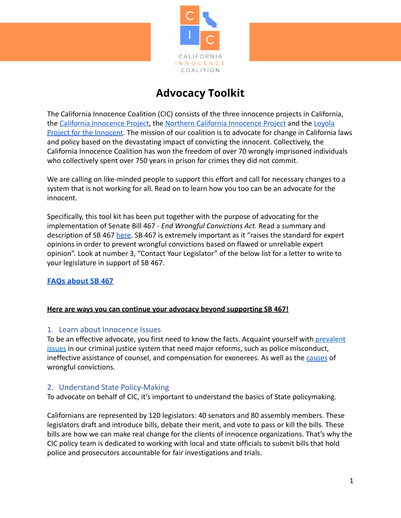

# **Advocacy Toolkit**

The California Innocence Coalition (CIC) consists of the three innocence projects in California, the [California Innocence Project,](https://californiainnocenceproject.org/) the [Northern California](http://ncip.org/) Innocence Project and the [Loyola](https://www.lls.edu/academics/experientiallearning/clinics/projectfortheinnocent/) [Project for the Innocent](https://www.lls.edu/academics/experientiallearning/clinics/projectfortheinnocent/). The mission of our coalition is to advocate for change in California laws and policy based on the devastating impact of convicting the innocent. Collectively, the California Innocence Coalition has won the freedom of over 70 wrongly imprisoned individuals who collectively spent over 750 years in prison for crimes they did not commit.

We are calling on like-minded people to support this effort and call for necessary changes to a system that is not working for all. Read on to learn how you too can be an advocate for the innocent.

Specifically, this tool kit has been put together with the purpose of advocating for the implementation of Senate Bill 467 - *End Wrongful Convictions Act.* Read a summary and description of SB 467 [here](https://ncip.org/wp-content/uploads/2022/03/SB-467-Fact-Sheet-.pdf). SB 467 is extremely important as it "raises the standard for expert opinions in order to prevent wrongful convictions based on flawed or unreliable expert opinion". Look at number 3, "Contact Your Legislator" of the below list for a letter to write to your legislature in support of SB 467.

# **FAQs [about](https://ncip.org/wp-content/uploads/2022/03/Copy-of-CIC-Edits-SB-467-FAQ-1.docx.pdf) SB 467**

## **Here are ways you can continue your advocacy beyond supporting SB 467!**

#### 1. Learn about Innocence Issues

To be an effective advocate, you first need to know the facts. Acquaint yourself with [prevalent](https://californiainnocenceproject.org/issues-we-face/) [issues](https://californiainnocenceproject.org/issues-we-face/) in our criminal justice system that need major reforms, such as police misconduct, ineffective assistance of counsel, and compensation for exonerees. As well as the [causes](http://ncip.org/wrongful-conviction-causes/) of wrongful convictions.

#### 2. Understand State Policy-Making

To advocate on behalf of CIC, it's important to understand the basics of State policymaking.

Californians are represented by 120 legislators: 40 senators and 80 assembly members. These legislators draft and introduce bills, debate their merit, and vote to pass or kill the bills. These bills are how we can make real change for the clients of innocence organizations. That's why the CIC policy team is dedicated to working with local and state officials to submit bills that hold police and prosecutors accountable for fair investigations and trials.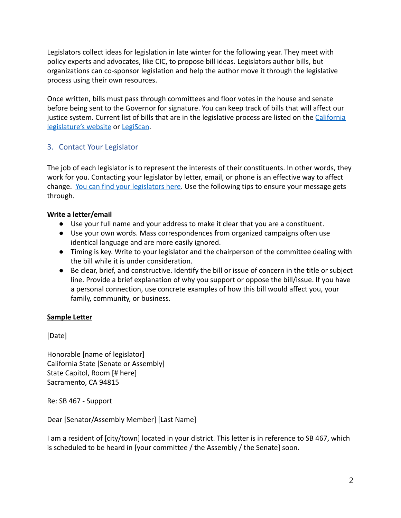Legislators collect ideas for legislation in late winter for the following year. They meet with policy experts and advocates, like CIC, to propose bill ideas. Legislators author bills, but organizations can co-sponsor legislation and help the author move it through the legislative process using their own resources.

Once written, bills must pass through committees and floor votes in the house and senate before being sent to the Governor for signature. You can keep track of bills that will affect our justice system. Current list of bills that are in the legislative process are listed on the [California](http://leginfo.legislature.ca.gov/faces/billStatusClient.xhtml) [legislature's website](http://leginfo.legislature.ca.gov/faces/billStatusClient.xhtml) or [LegiScan](https://legiscan.com/).

# 3. Contact Your Legislator

The job of each legislator is to represent the interests of their constituents. In other words, they work for you. Contacting your legislator by letter, email, or phone is an effective way to affect change. [You can find your legislators here](http://findyourrep.legislature.ca.gov/). Use the following tips to ensure your message gets through.

# **Write a letter/email**

- Use your full name and your address to make it clear that you are a constituent.
- Use your own words. Mass correspondences from organized campaigns often use identical language and are more easily ignored.
- Timing is key. Write to your legislator and the chairperson of the committee dealing with the bill while it is under consideration.
- Be clear, brief, and constructive. Identify the bill or issue of concern in the title or subject line. Provide a brief explanation of why you support or oppose the bill/issue. If you have a personal connection, use concrete examples of how this bill would affect you, your family, community, or business.

## **Sample Letter**

[Date]

Honorable [name of legislator] California State [Senate or Assembly] State Capitol, Room [# here] Sacramento, CA 94815

Re: SB 467 - Support

Dear [Senator/Assembly Member] [Last Name]

I am a resident of [city/town] located in your district. This letter is in reference to SB 467, which is scheduled to be heard in [your committee / the Assembly / the Senate] soon.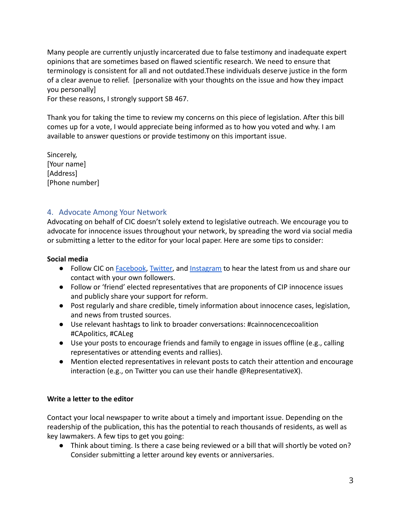Many people are currently unjustly incarcerated due to false testimony and inadequate expert opinions that are sometimes based on flawed scientific research. We need to ensure that terminology is consistent for all and not outdated.These individuals deserve justice in the form of a clear avenue to relief. [personalize with your thoughts on the issue and how they impact you personally]

For these reasons, I strongly support SB 467.

Thank you for taking the time to review my concerns on this piece of legislation. After this bill comes up for a vote, I would appreciate being informed as to how you voted and why. I am available to answer questions or provide testimony on this important issue.

Sincerely, [Your name] [Address] [Phone number]

# 4. Advocate Among Your Network

Advocating on behalf of CIC doesn't solely extend to legislative outreach. We encourage you to advocate for innocence issues throughout your network, by spreading the word via social media or submitting a letter to the editor for your local paper. Here are some tips to consider:

#### **Social media**

- **●** Follow CIC on [Facebook](https://www.facebook.com/CAinnocencecoa), [Twitter](https://twitter.com/CA_InnocenceCoa), and [Instagram](https://www.instagram.com/ca_innocencecoa/) to hear the latest from us and share our contact with your own followers.
- **●** Follow or 'friend' elected representatives that are proponents of CIP innocence issues and publicly share your support for reform.
- **●** Post regularly and share credible, timely information about innocence cases, legislation, and news from trusted sources.
- **●** Use relevant hashtags to link to broader conversations: #cainnocencecoalition #CApolitics, #CALeg
- **●** Use your posts to encourage friends and family to engage in issues offline (e.g., calling representatives or attending events and rallies).
- **●** Mention elected representatives in relevant posts to catch their attention and encourage interaction (e.g., on Twitter you can use their handle @RepresentativeX).

## **Write a letter to the editor**

Contact your local newspaper to write about a timely and important issue. Depending on the readership of the publication, this has the potential to reach thousands of residents, as well as key lawmakers. A few tips to get you going:

● Think about timing. Is there a case being reviewed or a bill that will shortly be voted on? Consider submitting a letter around key events or anniversaries.